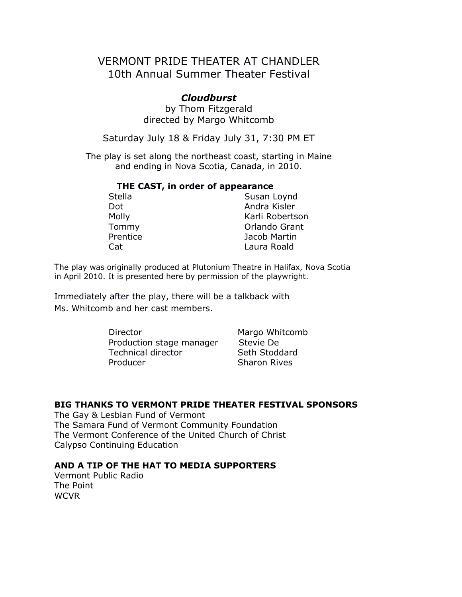## VERMONT PRIDE THEATER AT CHANDLER 10th Annual Summer Theater Festival

## *Cloudburst*

by Thom Fitzgerald directed by Margo Whitcomb

Saturday July 18 & Friday July 31, 7:30 PM ET

The play is set along the northeast coast, starting in Maine and ending in Nova Scotia, Canada, in 2010.

# **THE CAST, in order of appearance**

| этена    |  |
|----------|--|
| Dot      |  |
| Molly    |  |
| Tommy    |  |
| Prentice |  |
| Cat      |  |

Susan Loynd Andra Kisler Karli Robertson Orlando Grant Jacob Martin Laura Roald

The play was originally produced at Plutonium Theatre in Halifax, Nova Scotia in April 2010. It is presented here by permission of the playwright.

Immediately after the play, there will be a talkback with Ms. Whitcomb and her cast members.

> Director Margo Whitcomb Production stage manager Stevie De Technical director Seth Stoddard Producer Sharon Rives

#### **BIG THANKS TO VERMONT PRIDE THEATER FESTIVAL SPONSORS**

The Gay & Lesbian Fund of Vermont The Samara Fund of Vermont Community Foundation The Vermont Conference of the United Church of Christ Calypso Continuing Education

## **AND A TIP OF THE HAT TO MEDIA SUPPORTERS**

Vermont Public Radio The Point WCVR